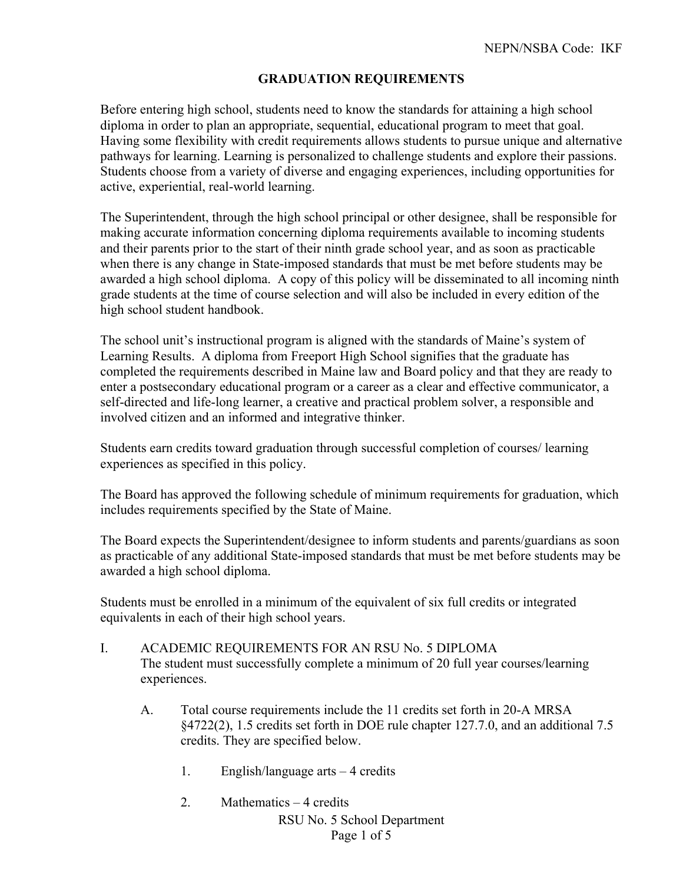## **GRADUATION REQUIREMENTS**

Before entering high school, students need to know the standards for attaining a high school diploma in order to plan an appropriate, sequential, educational program to meet that goal. Having some flexibility with credit requirements allows students to pursue unique and alternative pathways for learning. Learning is personalized to challenge students and explore their passions. Students choose from a variety of diverse and engaging experiences, including opportunities for active, experiential, real-world learning.

The Superintendent, through the high school principal or other designee, shall be responsible for making accurate information concerning diploma requirements available to incoming students and their parents prior to the start of their ninth grade school year, and as soon as practicable when there is any change in State-imposed standards that must be met before students may be awarded a high school diploma. A copy of this policy will be disseminated to all incoming ninth grade students at the time of course selection and will also be included in every edition of the high school student handbook.

The school unit's instructional program is aligned with the standards of Maine's system of Learning Results. A diploma from Freeport High School signifies that the graduate has completed the requirements described in Maine law and Board policy and that they are ready to enter a postsecondary educational program or a career as a clear and effective communicator, a self-directed and life-long learner, a creative and practical problem solver, a responsible and involved citizen and an informed and integrative thinker.

Students earn credits toward graduation through successful completion of courses/ learning experiences as specified in this policy.

The Board has approved the following schedule of minimum requirements for graduation, which includes requirements specified by the State of Maine.

The Board expects the Superintendent/designee to inform students and parents/guardians as soon as practicable of any additional State-imposed standards that must be met before students may be awarded a high school diploma.

Students must be enrolled in a minimum of the equivalent of six full credits or integrated equivalents in each of their high school years.

- I. ACADEMIC REQUIREMENTS FOR AN RSU No. 5 DIPLOMA The student must successfully complete a minimum of 20 full year courses/learning experiences.
	- A. Total course requirements include the 11 credits set forth in 20-A MRSA §4722(2), 1.5 credits set forth in DOE rule chapter 127.7.0, and an additional 7.5 credits. They are specified below.
		- 1. English/language arts 4 credits
		- 2. Mathematics 4 credits

RSU No. 5 School Department Page 1 of 5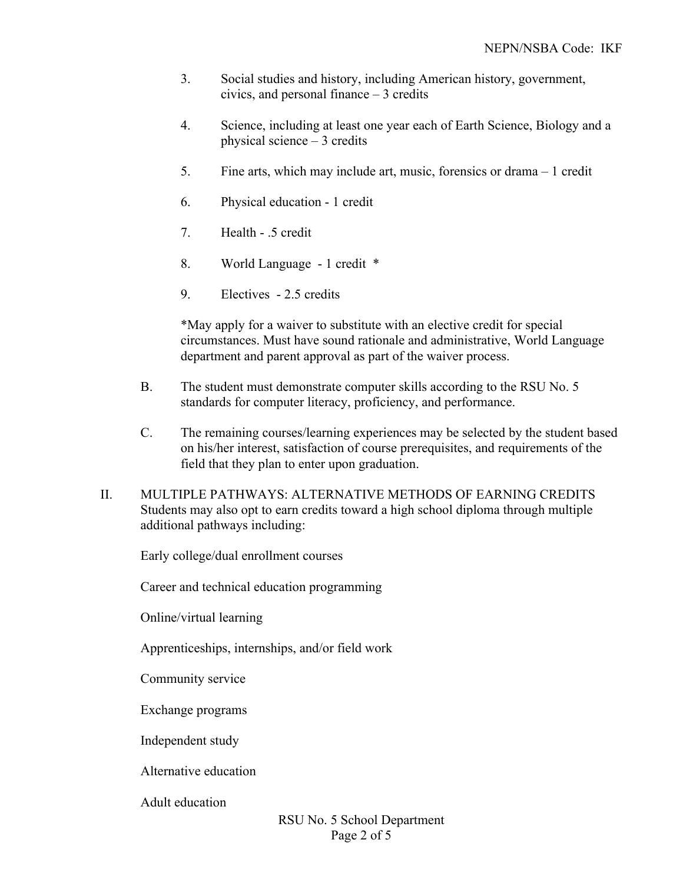- 3. Social studies and history, including American history, government, civics, and personal finance – 3 credits
- 4. Science, including at least one year each of Earth Science, Biology and a physical science – 3 credits
- 5. Fine arts, which may include art, music, forensics or drama 1 credit
- 6. Physical education 1 credit
- 7. Health .5 credit
- 8. World Language 1 credit \*
- 9. Electives 2.5 credits

\*May apply for a waiver to substitute with an elective credit for special circumstances. Must have sound rationale and administrative, World Language department and parent approval as part of the waiver process.

- B. The student must demonstrate computer skills according to the RSU No. 5 standards for computer literacy, proficiency, and performance.
- C. The remaining courses/learning experiences may be selected by the student based on his/her interest, satisfaction of course prerequisites, and requirements of the field that they plan to enter upon graduation.
- II. MULTIPLE PATHWAYS: ALTERNATIVE METHODS OF EARNING CREDITS Students may also opt to earn credits toward a high school diploma through multiple additional pathways including:

Early college/dual enrollment courses

Career and technical education programming

Online/virtual learning

Apprenticeships, internships, and/or field work

Community service

Exchange programs

Independent study

Alternative education

Adult education

RSU No. 5 School Department Page 2 of 5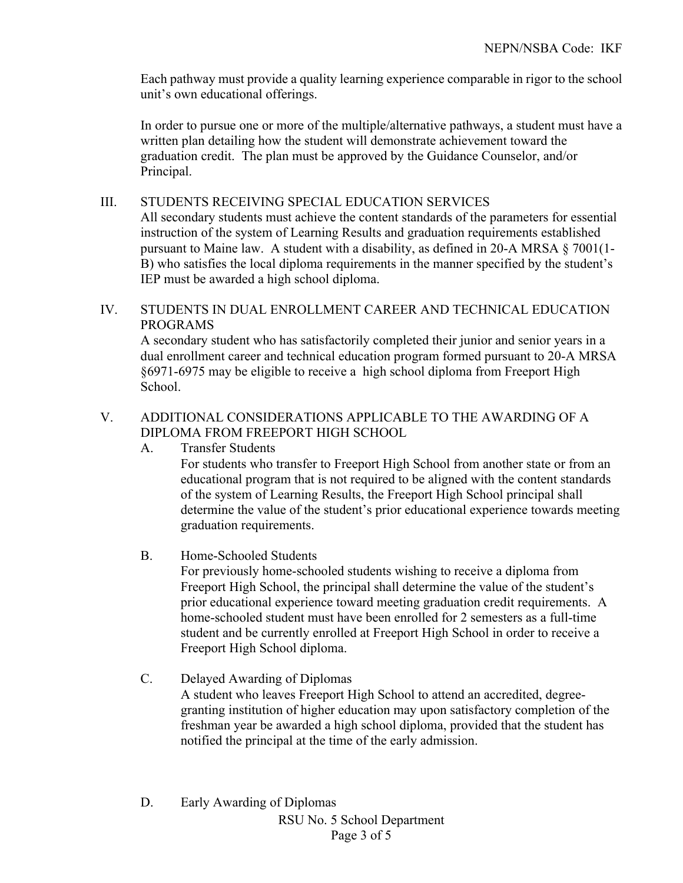Each pathway must provide a quality learning experience comparable in rigor to the school unit's own educational offerings.

In order to pursue one or more of the multiple/alternative pathways, a student must have a written plan detailing how the student will demonstrate achievement toward the graduation credit. The plan must be approved by the Guidance Counselor, and/or Principal.

### III. STUDENTS RECEIVING SPECIAL EDUCATION SERVICES

All secondary students must achieve the content standards of the parameters for essential instruction of the system of Learning Results and graduation requirements established pursuant to Maine law. A student with a disability, as defined in 20-A MRSA § 7001(1- B) who satisfies the local diploma requirements in the manner specified by the student's IEP must be awarded a high school diploma.

## IV. STUDENTS IN DUAL ENROLLMENT CAREER AND TECHNICAL EDUCATION PROGRAMS

A secondary student who has satisfactorily completed their junior and senior years in a dual enrollment career and technical education program formed pursuant to 20-A MRSA §6971-6975 may be eligible to receive a high school diploma from Freeport High School.

# V. ADDITIONAL CONSIDERATIONS APPLICABLE TO THE AWARDING OF A DIPLOMA FROM FREEPORT HIGH SCHOOL

A. Transfer Students

For students who transfer to Freeport High School from another state or from an educational program that is not required to be aligned with the content standards of the system of Learning Results, the Freeport High School principal shall determine the value of the student's prior educational experience towards meeting graduation requirements.

## B. Home-Schooled Students

For previously home-schooled students wishing to receive a diploma from Freeport High School, the principal shall determine the value of the student's prior educational experience toward meeting graduation credit requirements. A home-schooled student must have been enrolled for 2 semesters as a full-time student and be currently enrolled at Freeport High School in order to receive a Freeport High School diploma.

- C. Delayed Awarding of Diplomas A student who leaves Freeport High School to attend an accredited, degreegranting institution of higher education may upon satisfactory completion of the freshman year be awarded a high school diploma, provided that the student has notified the principal at the time of the early admission.
- D. Early Awarding of Diplomas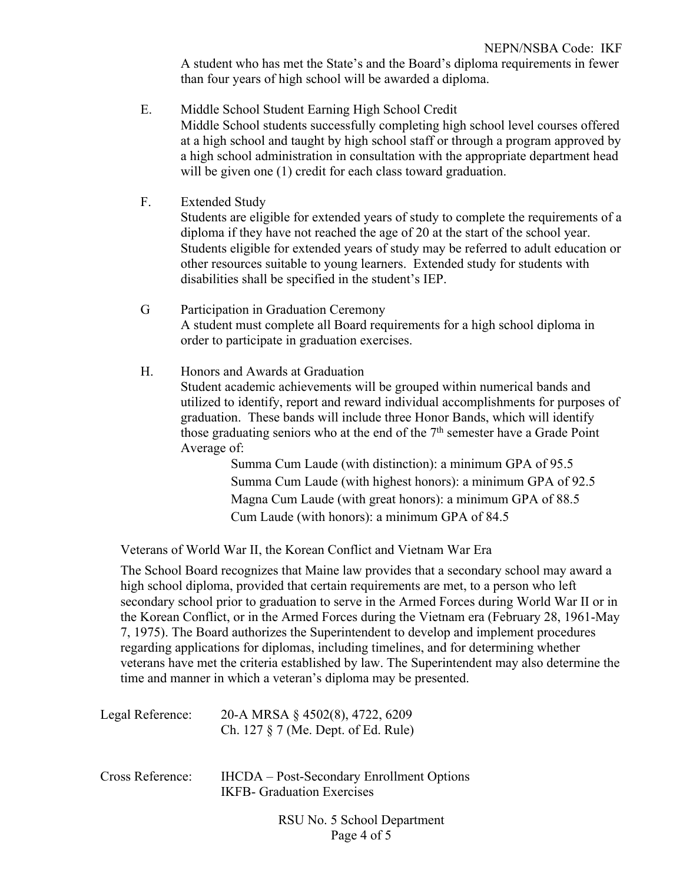A student who has met the State's and the Board's diploma requirements in fewer than four years of high school will be awarded a diploma.

### E. Middle School Student Earning High School Credit

Middle School students successfully completing high school level courses offered at a high school and taught by high school staff or through a program approved by a high school administration in consultation with the appropriate department head will be given one (1) credit for each class toward graduation.

F. Extended Study

Students are eligible for extended years of study to complete the requirements of a diploma if they have not reached the age of 20 at the start of the school year. Students eligible for extended years of study may be referred to adult education or other resources suitable to young learners. Extended study for students with disabilities shall be specified in the student's IEP.

G Participation in Graduation Ceremony A student must complete all Board requirements for a high school diploma in order to participate in graduation exercises.

H. Honors and Awards at Graduation Student academic achievements will be grouped within numerical bands and utilized to identify, report and reward individual accomplishments for purposes of graduation. These bands will include three Honor Bands, which will identify those graduating seniors who at the end of the  $7<sup>th</sup>$  semester have a Grade Point Average of:

Summa Cum Laude (with distinction): a minimum GPA of 95.5 Summa Cum Laude (with highest honors): a minimum GPA of 92.5 Magna Cum Laude (with great honors): a minimum GPA of 88.5 Cum Laude (with honors): a minimum GPA of 84.5

Veterans of World War II, the Korean Conflict and Vietnam War Era

The School Board recognizes that Maine law provides that a secondary school may award a high school diploma, provided that certain requirements are met, to a person who left secondary school prior to graduation to serve in the Armed Forces during World War II or in the Korean Conflict, or in the Armed Forces during the Vietnam era (February 28, 1961-May 7, 1975). The Board authorizes the Superintendent to develop and implement procedures regarding applications for diplomas, including timelines, and for determining whether veterans have met the criteria established by law. The Superintendent may also determine the time and manner in which a veteran's diploma may be presented.

| Legal Reference: | 20-A MRSA § 4502(8), 4722, 6209<br>Ch. $127 \S$ 7 (Me. Dept. of Ed. Rule) |
|------------------|---------------------------------------------------------------------------|
|                  |                                                                           |

Cross Reference: IHCDA – Post-Secondary Enrollment Options IKFB- Graduation Exercises

> RSU No. 5 School Department Page 4 of 5